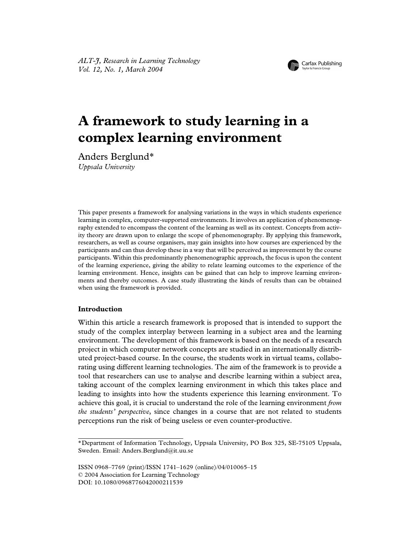

# **A framework to study learning in a complex learning environment**

Anders Berglund\* *Uppsala University*

This paper presents a framework for analysing variations in the ways in which students experience learning in complex, computer-supported environments. It involves an application of phenomenography extended to encompass the content of the learning as well as its context. Concepts from activity theory are drawn upon to enlarge the scope of phenomenography. By applying this framework, researchers, as well as course organisers, may gain insights into how courses are experienced by the participants and can thus develop these in a way that will be perceived as improvement by the course participants. Within this predominantly phenomenographic approach, the focus is upon the content of the learning experience, giving the ability to relate learning outcomes to the experience of the learning environment. Hence, insights can be gained that can help to improve learning environments and thereby outcomes. A case study illustrating the kinds of results than can be obtained when using the framework is provided.

# **Introduction**

Within this article a research framework is proposed that is intended to support the study of the complex interplay between learning in a subject area and the learning environment. The development of this framework is based on the needs of a research project in which computer network concepts are studied in an internationally distributed project-based course. In the course, the students work in virtual teams, collaborating using different learning technologies. The aim of the framework is to provide a tool that researchers can use to analyse and describe learning within a subject area, taking account of the complex learning environment in which this takes place and leading to insights into how the students experience this learning environment. To achieve this goal, it is crucial to understand the role of the learning environment *from the students' perspective*, since changes in a course that are not related to students perceptions run the risk of being useless or even counter-productive.

ISSN 0968–7769 (print)/ISSN 1741–1629 (online)/04/010065–15 © 2004 Association for Learning Technology DOI: 10.1080/0968776042000211539

<sup>\*</sup>Department of Information Technology, Uppsala University, PO Box 325, SE-75105 Uppsala, Sweden. Email: Anders.Berglund@it.uu.se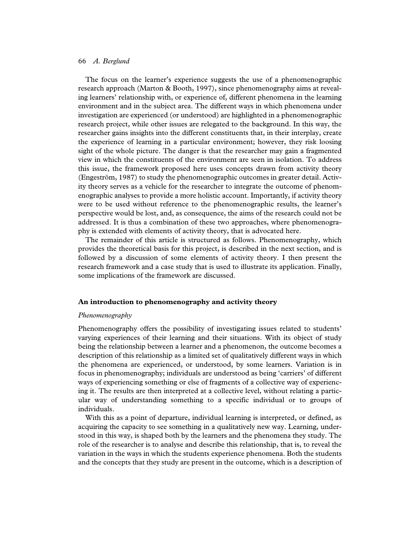The focus on the learner's experience suggests the use of a phenomenographic research approach (Marton & Booth, 1997), since phenomenography aims at revealing learners' relationship with, or experience of, different phenomena in the learning environment and in the subject area. The different ways in which phenomena under investigation are experienced (or understood) are highlighted in a phenomenographic research project, while other issues are relegated to the background. In this way, the researcher gains insights into the different constituents that, in their interplay, create the experience of learning in a particular environment; however, they risk loosing sight of the whole picture. The danger is that the researcher may gain a fragmented view in which the constituents of the environment are seen in isolation. To address this issue, the framework proposed here uses concepts drawn from activity theory (Engeström, 1987) to study the phenomenographic outcomes in greater detail. Activity theory serves as a vehicle for the researcher to integrate the outcome of phenomenographic analyses to provide a more holistic account. Importantly, if activity theory were to be used without reference to the phenomenographic results, the learner's perspective would be lost, and, as consequence, the aims of the research could not be addressed. It is thus a combination of these two approaches, where phenomenography is extended with elements of activity theory, that is advocated here.

The remainder of this article is structured as follows. Phenomenography, which provides the theoretical basis for this project, is described in the next section, and is followed by a discussion of some elements of activity theory. I then present the research framework and a case study that is used to illustrate its application. Finally, some implications of the framework are discussed.

#### **An introduction to phenomenography and activity theory**

#### *Phenomenography*

Phenomenography offers the possibility of investigating issues related to students' varying experiences of their learning and their situations. With its object of study being the relationship between a learner and a phenomenon, the outcome becomes a description of this relationship as a limited set of qualitatively different ways in which the phenomena are experienced, or understood, by some learners. Variation is in focus in phenomenography; individuals are understood as being 'carriers' of different ways of experiencing something or else of fragments of a collective way of experiencing it. The results are then interpreted at a collective level, without relating a particular way of understanding something to a specific individual or to groups of individuals.

With this as a point of departure, individual learning is interpreted, or defined, as acquiring the capacity to see something in a qualitatively new way. Learning, understood in this way, is shaped both by the learners and the phenomena they study. The role of the researcher is to analyse and describe this relationship, that is, to reveal the variation in the ways in which the students experience phenomena. Both the students and the concepts that they study are present in the outcome, which is a description of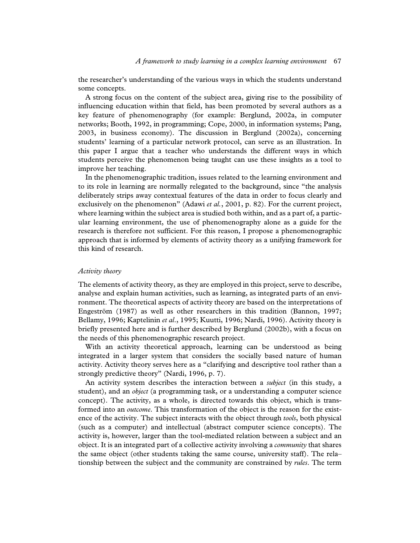the researcher's understanding of the various ways in which the students understand some concepts.

A strong focus on the content of the subject area, giving rise to the possibility of influencing education within that field, has been promoted by several authors as a key feature of phenomenography (for example: Berglund, 2002a, in computer networks; Booth, 1992, in programming; Cope, 2000, in information systems; Pang, 2003, in business economy). The discussion in Berglund (2002a), concerning students' learning of a particular network protocol, can serve as an illustration. In this paper I argue that a teacher who understands the different ways in which students perceive the phenomenon being taught can use these insights as a tool to improve her teaching.

In the phenomenographic tradition, issues related to the learning environment and to its role in learning are normally relegated to the background, since "the analysis deliberately strips away contextual features of the data in order to focus clearly and exclusively on the phenomenon" (Adawi *et al.*, 2001, p. 82). For the current project, where learning within the subject area is studied both within, and as a part of, a particular learning environment, the use of phenomenography alone as a guide for the research is therefore not sufficient. For this reason, I propose a phenomenographic approach that is informed by elements of activity theory as a unifying framework for this kind of research.

### *Activity theory*

The elements of activity theory, as they are employed in this project, serve to describe, analyse and explain human activities, such as learning, as integrated parts of an environment. The theoretical aspects of activity theory are based on the interpretations of Engeström (1987) as well as other researchers in this tradition (Bannon, 1997; Bellamy, 1996; Kaptelinin *et al*., 1995; Kuutti, 1996; Nardi, 1996). Activity theory is briefly presented here and is further described by Berglund (2002b), with a focus on the needs of this phenomenographic research project.

With an activity theoretical approach, learning can be understood as being integrated in a larger system that considers the socially based nature of human activity. Activity theory serves here as a "clarifying and descriptive tool rather than a strongly predictive theory" (Nardi, 1996, p. 7).

An activity system describes the interaction between a *subject* (in this study, a student), and an *object* (a programming task, or a understanding a computer science concept). The activity, as a whole, is directed towards this object, which is transformed into an *outcome*. This transformation of the object is the reason for the existence of the activity. The subject interacts with the object through *tools*, both physical (such as a computer) and intellectual (abstract computer science concepts). The activity is, however, larger than the tool-mediated relation between a subject and an object. It is an integrated part of a collective activity involving a *community* that shares the same object (other students taking the same course, university staff). The rela– tionship between the subject and the community are constrained by *rules*. The term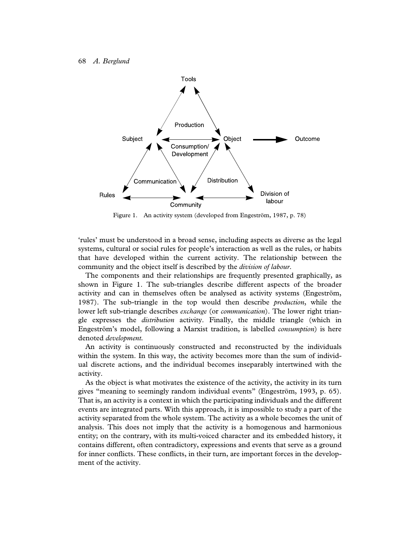

Figure 1. An activity system (developed from Engeström, 1987, p. 78)

'rules' must be understood in a broad sense, including aspects as diverse as the legal systems, cultural or social rules for people's interaction as well as the rules, or habits that have developed within the current activity. The relationship between the community and the object itself is described by the *division of labour*.

The components and their relationships are frequently presented graphically, as shown in Figure 1. The sub-triangles describe different aspects of the broader activity and can in themselves often be analysed as activity systems (Engeström, 1987). The sub-triangle in the top would then describe *production*, while the lower left sub-triangle describes *exchange* (or *communication*). The lower right triangle expresses the *distribution* activity. Finally, the middle triangle (which in Engeström's model, following a Marxist tradition, is labelled *consumption*) is here denoted *development.*

An activity is continuously constructed and reconstructed by the individuals within the system. In this way, the activity becomes more than the sum of individual discrete actions, and the individual becomes inseparably intertwined with the activity.

As the object is what motivates the existence of the activity, the activity in its turn gives "meaning to seemingly random individual events" (Engeström, 1993, p. 65). That is, an activity is a context in which the participating individuals and the different events are integrated parts. With this approach, it is impossible to study a part of the activity separated from the whole system. The activity as a whole becomes the unit of analysis. This does not imply that the activity is a homogenous and harmonious entity; on the contrary, with its multi-voiced character and its embedded history, it contains different, often contradictory, expressions and events that serve as a ground for inner conflicts. These conflicts, in their turn, are important forces in the development of the activity.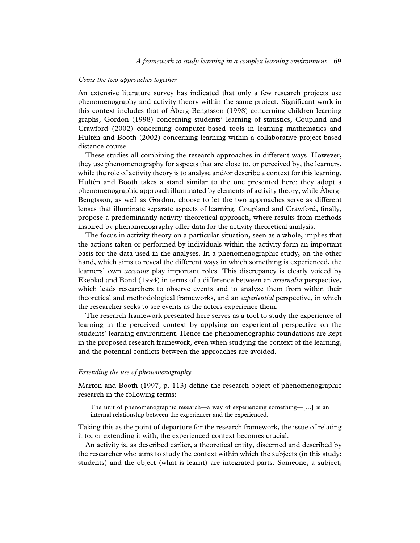#### *Using the two approaches together*

An extensive literature survey has indicated that only a few research projects use phenomenography and activity theory within the same project. Significant work in this context includes that of Åberg-Bengtsson (1998) concerning children learning graphs, Gordon (1998) concerning students' learning of statistics, Coupland and Crawford (2002) concerning computer-based tools in learning mathematics and Hultén and Booth (2002) concerning learning within a collaborative project-based distance course.

These studies all combining the research approaches in different ways. However, they use phenomenography for aspects that are close to, or perceived by, the learners, while the role of activity theory is to analyse and/or describe a context for this learning. Hultén and Booth takes a stand similar to the one presented here: they adopt a phenomenographic approach illuminated by elements of activity theory, while Åberg-Bengtsson, as well as Gordon, choose to let the two approaches serve as different lenses that illuminate separate aspects of learning. Coupland and Crawford, finally, propose a predominantly activity theoretical approach, where results from methods inspired by phenomenography offer data for the activity theoretical analysis.

The focus in activity theory on a particular situation, seen as a whole, implies that the actions taken or performed by individuals within the activity form an important basis for the data used in the analyses. In a phenomenographic study, on the other hand, which aims to reveal the different ways in which something is experienced, the learners' own *accounts* play important roles. This discrepancy is clearly voiced by Ekeblad and Bond (1994) in terms of a difference between an *externalist* perspective, which leads researchers to observe events and to analyze them from within their theoretical and methodological frameworks, and an *experiential* perspective, in which the researcher seeks to see events as the actors experience them.

The research framework presented here serves as a tool to study the experience of learning in the perceived context by applying an experiential perspective on the students' learning environment. Hence the phenomenographic foundations are kept in the proposed research framework, even when studying the context of the learning, and the potential conflicts between the approaches are avoided.

## *Extending the use of phenomenography*

Marton and Booth (1997, p. 113) define the research object of phenomenographic research in the following terms:

The unit of phenomenographic research—a way of experiencing something—[…] is an internal relationship between the experiencer and the experienced.

Taking this as the point of departure for the research framework, the issue of relating it to, or extending it with, the experienced context becomes crucial.

An activity is, as described earlier, a theoretical entity, discerned and described by the researcher who aims to study the context within which the subjects (in this study: students) and the object (what is learnt) are integrated parts. Someone, a subject,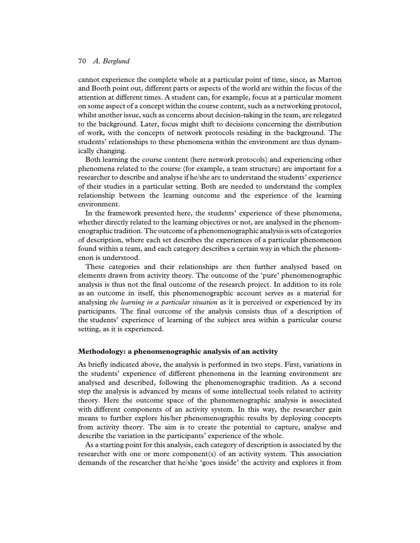cannot experience the complete whole at a particular point of time, since, as Marton and Booth point out, different parts or aspects of the world are within the focus of the attention at different times. A student can, for example, focus at a particular moment on some aspect of a concept within the course content, such as a networking protocol, whilst another issue, such as concerns about decision-taking in the team, are relegated to the background. Later, focus might shift to decisions concerning the distribution of work, with the concepts of network protocols residing in the background. The students' relationships to these phenomena within the environment are thus dynamically changing.

Both learning the course content (here network protocols) and experiencing other phenomena related to the course (for example, a team structure) are important for a researcher to describe and analyse if he/she are to understand the students' experience of their studies in a particular setting. Both are needed to understand the complex relationship between the learning outcome and the experience of the learning environment.

In the framework presented here, the students' experience of these phenomena, whether directly related to the learning objectives or not, are analysed in the phenomenographic tradition. The outcome of a phenomenographic analysis is sets of categories of description, where each set describes the experiences of a particular phenomenon found within a team, and each category describes a certain way in which the phenomenon is understood.

These categories and their relationships are then further analysed based on elements drawn from activity theory. The outcome of the 'pure' phenomenographic analysis is thus not the final outcome of the research project. In addition to its role as an outcome in itself, this phenomenographic account serves as a material for analysing *the learning in a particular situation* as it is perceived or experienced by its participants. The final outcome of the analysis consists thus of a description of the students' experience of learning of the subject area within a particular course setting, as it is experienced.

# **Methodology: a phenomenographic analysis of an activity**

As briefly indicated above, the analysis is performed in two steps. First, variations in the students' experience of different phenomena in the learning environment are analysed and described, following the phenomenographic tradition. As a second step the analysis is advanced by means of some intellectual tools related to activity theory. Here the outcome space of the phenomenographic analysis is associated with different components of an activity system. In this way, the researcher gain means to further explore his/her phenomenographic results by deploying concepts from activity theory. The aim is to create the potential to capture, analyse and describe the variation in the participants' experience of the whole.

As a starting point for this analysis, each category of description is associated by the researcher with one or more component(s) of an activity system. This association demands of the researcher that he/she 'goes inside' the activity and explores it from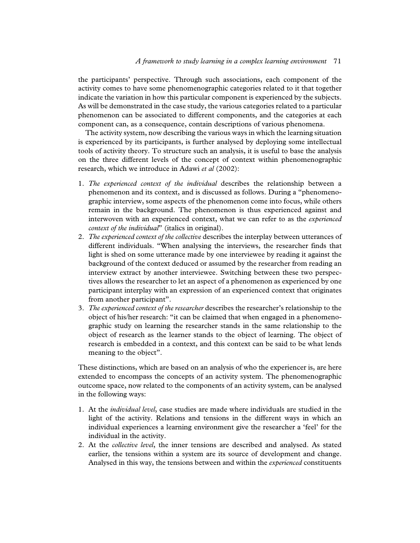the participants' perspective. Through such associations, each component of the activity comes to have some phenomenographic categories related to it that together indicate the variation in how this particular component is experienced by the subjects. As will be demonstrated in the case study, the various categories related to a particular phenomenon can be associated to different components, and the categories at each component can, as a consequence, contain descriptions of various phenomena.

The activity system, now describing the various ways in which the learning situation is experienced by its participants, is further analysed by deploying some intellectual tools of activity theory. To structure such an analysis, it is useful to base the analysis on the three different levels of the concept of context within phenomenographic research, which we introduce in Adawi *et al* (2002):

- 1. *The experienced context of the individual* describes the relationship between a phenomenon and its context, and is discussed as follows. During a "phenomenographic interview, some aspects of the phenomenon come into focus, while others remain in the background. The phenomenon is thus experienced against and interwoven with an experienced context, what we can refer to as the *experienced context of the individual*" (italics in original).
- 2. *The experienced context of the collective* describes the interplay between utterances of different individuals. "When analysing the interviews, the researcher finds that light is shed on some utterance made by one interviewee by reading it against the background of the context deduced or assumed by the researcher from reading an interview extract by another interviewee. Switching between these two perspectives allows the researcher to let an aspect of a phenomenon as experienced by one participant interplay with an expression of an experienced context that originates from another participant".
- 3. *The experienced context of the researcher* describes the researcher's relationship to the object of his/her research: "it can be claimed that when engaged in a phenomenographic study on learning the researcher stands in the same relationship to the object of research as the learner stands to the object of learning. The object of research is embedded in a context, and this context can be said to be what lends meaning to the object".

These distinctions, which are based on an analysis of who the experiencer is, are here extended to encompass the concepts of an activity system. The phenomenographic outcome space, now related to the components of an activity system, can be analysed in the following ways:

- 1. At the *individual level*, case studies are made where individuals are studied in the light of the activity. Relations and tensions in the different ways in which an individual experiences a learning environment give the researcher a 'feel' for the individual in the activity.
- 2. At the *collective level*, the inner tensions are described and analysed. As stated earlier, the tensions within a system are its source of development and change. Analysed in this way, the tensions between and within the *experienced* constituents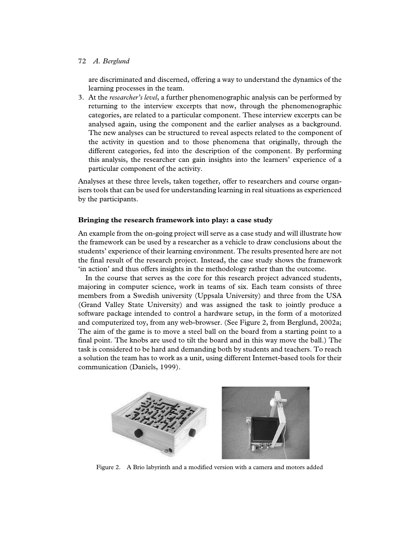# 72 *A. Berglund*

are discriminated and discerned, offering a way to understand the dynamics of the learning processes in the team.

3. At the *researcher's level*, a further phenomenographic analysis can be performed by returning to the interview excerpts that now, through the phenomenographic categories, are related to a particular component. These interview excerpts can be analysed again, using the component and the earlier analyses as a background. The new analyses can be structured to reveal aspects related to the component of the activity in question and to those phenomena that originally, through the different categories, fed into the description of the component. By performing this analysis, the researcher can gain insights into the learners' experience of a particular component of the activity.

Analyses at these three levels, taken together, offer to researchers and course organisers tools that can be used for understanding learning in real situations as experienced by the participants.

# **Bringing the research framework into play: a case study**

An example from the on-going project will serve as a case study and will illustrate how the framework can be used by a researcher as a vehicle to draw conclusions about the students' experience of their learning environment. The results presented here are not the final result of the research project. Instead, the case study shows the framework 'in action' and thus offers insights in the methodology rather than the outcome.

In the course that serves as the core for this research project advanced students, majoring in computer science, work in teams of six. Each team consists of three members from a Swedish university (Uppsala University) and three from the USA (Grand Valley State University) and was assigned the task to jointly produce a software package intended to control a hardware setup, in the form of a motorized and computerized toy, from any web-browser. (See Figure 2, from Berglund, 2002a; The aim of the game is to move a steel ball on the board from a starting point to a final point. The knobs are used to tilt the board and in this way move the ball.) The task is considered to be hard and demanding both by students and teachers. To reach a solution the team has to work as a unit, using different Internet-based tools for their communication (Daniels, 1999).



Figure 2. A Brio labyrinth and a modified version with a camera and motors added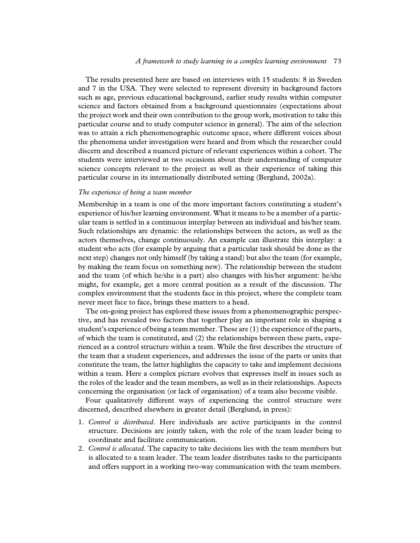The results presented here are based on interviews with 15 students: 8 in Sweden and 7 in the USA. They were selected to represent diversity in background factors such as age, previous educational background, earlier study results within computer science and factors obtained from a background questionnaire (expectations about the project work and their own contribution to the group work, motivation to take this particular course and to study computer science in general). The aim of the selection was to attain a rich phenomenographic outcome space, where different voices about the phenomena under investigation were heard and from which the researcher could discern and described a nuanced picture of relevant experiences within a cohort. The students were interviewed at two occasions about their understanding of computer science concepts relevant to the project as well as their experience of taking this particular course in its internationally distributed setting (Berglund, 2002a).

## *The experience of being a team member*

Membership in a team is one of the more important factors constituting a student's experience of his/her learning environment. What it means to be a member of a particular team is settled in a continuous interplay between an individual and his/her team. Such relationships are dynamic: the relationships between the actors, as well as the actors themselves, change continuously. An example can illustrate this interplay: a student who acts (for example by arguing that a particular task should be done as the next step) changes not only himself (by taking a stand) but also the team (for example, by making the team focus on something new). The relationship between the student and the team (of which he/she is a part) also changes with his/her argument: he/she might, for example, get a more central position as a result of the discussion. The complex environment that the students face in this project, where the complete team never meet face to face, brings these matters to a head.

The on-going project has explored these issues from a phenomenographic perspective, and has revealed two factors that together play an important role in shaping a student's experience of being a team member. These are (1) the experience of the parts, of which the team is constituted, and (2) the relationships between these parts, experienced as a control structure within a team. While the first describes the structure of the team that a student experiences, and addresses the issue of the parts or units that constitute the team, the latter highlights the capacity to take and implement decisions within a team. Here a complex picture evolves that expresses itself in issues such as the roles of the leader and the team members, as well as in their relationships. Aspects concerning the organisation (or lack of organisation) of a team also become visible.

Four qualitatively different ways of experiencing the control structure were discerned, described elsewhere in greater detail (Berglund, in press):

- 1. *Control is distributed*. Here individuals are active participants in the control structure. Decisions are jointly taken, with the role of the team leader being to coordinate and facilitate communication.
- 2. *Control is allocated*. The capacity to take decisions lies with the team members but is allocated to a team leader. The team leader distributes tasks to the participants and offers support in a working two-way communication with the team members.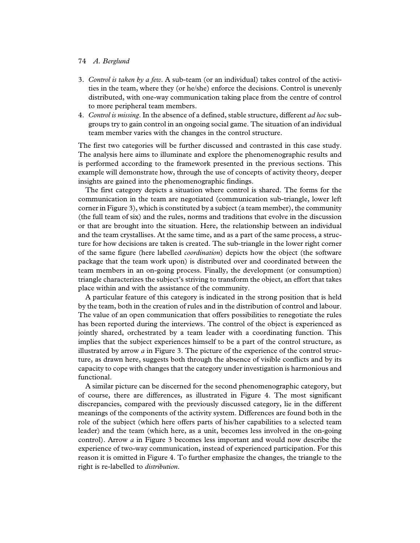## 74 *A. Berglund*

- 3. *Control is taken by a few*. A sub-team (or an individual) takes control of the activities in the team, where they (or he/she) enforce the decisions. Control is unevenly distributed, with one-way communication taking place from the centre of control to more peripheral team members.
- 4. *Control is missing*. In the absence of a defined, stable structure, different *ad hoc* subgroups try to gain control in an ongoing social game. The situation of an individual team member varies with the changes in the control structure.

The first two categories will be further discussed and contrasted in this case study. The analysis here aims to illuminate and explore the phenomenographic results and is performed according to the framework presented in the previous sections. This example will demonstrate how, through the use of concepts of activity theory, deeper insights are gained into the phenomenographic findings.

The first category depicts a situation where control is shared. The forms for the communication in the team are negotiated (communication sub-triangle, lower left corner in Figure 3), which is constituted by a subject (a team member), the community (the full team of six) and the rules, norms and traditions that evolve in the discussion or that are brought into the situation. Here, the relationship between an individual and the team crystallises. At the same time, and as a part of the same process, a structure for how decisions are taken is created. The sub-triangle in the lower right corner of the same figure (here labelled *coordination*) depicts how the object (the software package that the team work upon) is distributed over and coordinated between the team members in an on-going process. Finally, the development (or consumption) triangle characterizes the subject's striving to transform the object, an effort that takes place within and with the assistance of the community.

A particular feature of this category is indicated in the strong position that is held by the team, both in the creation of rules and in the distribution of control and labour. The value of an open communication that offers possibilities to renegotiate the rules has been reported during the interviews. The control of the object is experienced as jointly shared, orchestrated by a team leader with a coordinating function. This implies that the subject experiences himself to be a part of the control structure, as illustrated by arrow *a* in Figure 3. The picture of the experience of the control structure, as drawn here, suggests both through the absence of visible conflicts and by its capacity to cope with changes that the category under investigation is harmonious and functional.

A similar picture can be discerned for the second phenomenographic category, but of course, there are differences, as illustrated in Figure 4. The most significant discrepancies, compared with the previously discussed category, lie in the different meanings of the components of the activity system. Differences are found both in the role of the subject (which here offers parts of his/her capabilities to a selected team leader) and the team (which here, as a unit, becomes less involved in the on-going control). Arrow *a* in Figure 3 becomes less important and would now describe the experience of two-way communication, instead of experienced participation. For this reason it is omitted in Figure 4. To further emphasize the changes, the triangle to the right is re-labelled to *distribution*.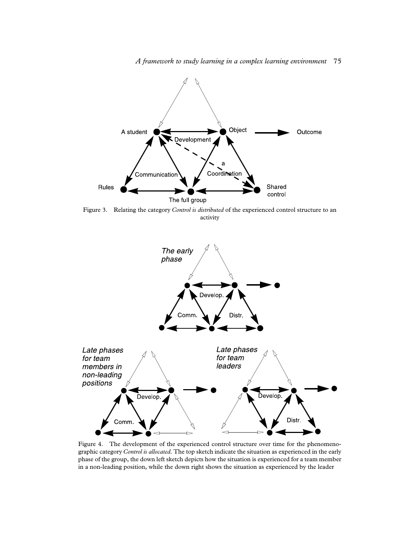

Figure 3. Relating the category *Control is distributed* of the experienced control structure to an activity



Figure 4. The development of the experienced control structure over time for the phenomenographic category *Control is allocated*. The top sketch indicate the situation as experienced in the early phase of the group, the down left sketch depicts how the situation is experienced for a team member in a non-leading position, while the down right shows the situation as experienced by the leader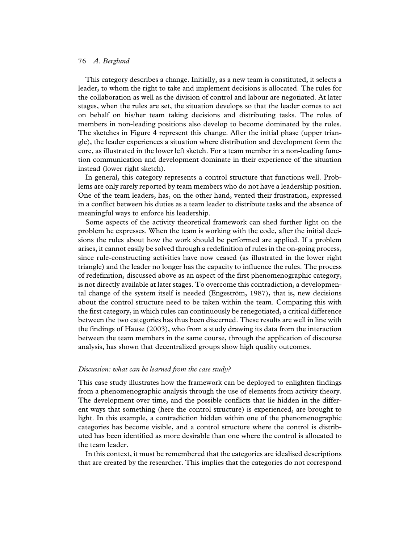#### 76 *A. Berglund*

This category describes a change. Initially, as a new team is constituted, it selects a leader, to whom the right to take and implement decisions is allocated. The rules for the collaboration as well as the division of control and labour are negotiated. At later stages, when the rules are set, the situation develops so that the leader comes to act on behalf on his/her team taking decisions and distributing tasks. The roles of members in non-leading positions also develop to become dominated by the rules. The sketches in Figure 4 represent this change. After the initial phase (upper triangle), the leader experiences a situation where distribution and development form the core, as illustrated in the lower left sketch. For a team member in a non-leading function communication and development dominate in their experience of the situation instead (lower right sketch).

In general, this category represents a control structure that functions well. Problems are only rarely reported by team members who do not have a leadership position. One of the team leaders, has, on the other hand, vented their frustration, expressed in a conflict between his duties as a team leader to distribute tasks and the absence of meaningful ways to enforce his leadership.

Some aspects of the activity theoretical framework can shed further light on the problem he expresses. When the team is working with the code, after the initial decisions the rules about how the work should be performed are applied. If a problem arises, it cannot easily be solved through a redefinition of rules in the on-going process, since rule-constructing activities have now ceased (as illustrated in the lower right triangle) and the leader no longer has the capacity to influence the rules. The process of redefinition, discussed above as an aspect of the first phenomenographic category, is not directly available at later stages. To overcome this contradiction, a developmental change of the system itself is needed (Engeström, 1987), that is, new decisions about the control structure need to be taken within the team. Comparing this with the first category, in which rules can continuously be renegotiated, a critical difference between the two categories has thus been discerned. These results are well in line with the findings of Hause (2003), who from a study drawing its data from the interaction between the team members in the same course, through the application of discourse analysis, has shown that decentralized groups show high quality outcomes.

#### *Discussion: what can be learned from the case study?*

This case study illustrates how the framework can be deployed to enlighten findings from a phenomenographic analysis through the use of elements from activity theory. The development over time, and the possible conflicts that lie hidden in the different ways that something (here the control structure) is experienced, are brought to light. In this example, a contradiction hidden within one of the phenomenographic categories has become visible, and a control structure where the control is distributed has been identified as more desirable than one where the control is allocated to the team leader.

In this context, it must be remembered that the categories are idealised descriptions that are created by the researcher. This implies that the categories do not correspond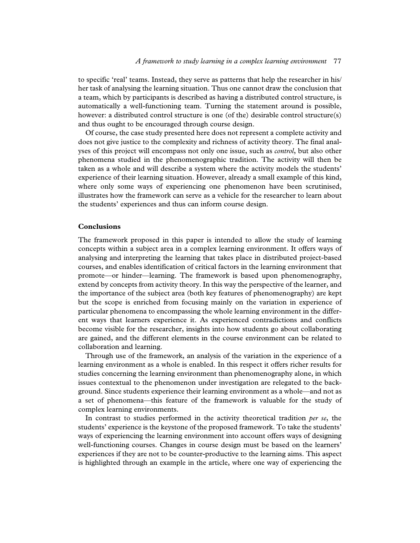to specific 'real' teams. Instead, they serve as patterns that help the researcher in his/ her task of analysing the learning situation. Thus one cannot draw the conclusion that a team, which by participants is described as having a distributed control structure, is automatically a well-functioning team. Turning the statement around is possible, however: a distributed control structure is one (of the) desirable control structure(s) and thus ought to be encouraged through course design.

Of course, the case study presented here does not represent a complete activity and does not give justice to the complexity and richness of activity theory. The final analyses of this project will encompass not only one issue, such as *control*, but also other phenomena studied in the phenomenographic tradition. The activity will then be taken as a whole and will describe a system where the activity models the students' experience of their learning situation. However, already a small example of this kind, where only some ways of experiencing one phenomenon have been scrutinised, illustrates how the framework can serve as a vehicle for the researcher to learn about the students' experiences and thus can inform course design.

## **Conclusions**

The framework proposed in this paper is intended to allow the study of learning concepts within a subject area in a complex learning environment. It offers ways of analysing and interpreting the learning that takes place in distributed project-based courses, and enables identification of critical factors in the learning environment that promote—or hinder—learning. The framework is based upon phenomenography, extend by concepts from activity theory. In this way the perspective of the learner, and the importance of the subject area (both key features of phenomenography) are kept but the scope is enriched from focusing mainly on the variation in experience of particular phenomena to encompassing the whole learning environment in the different ways that learners experience it. As experienced contradictions and conflicts become visible for the researcher, insights into how students go about collaborating are gained, and the different elements in the course environment can be related to collaboration and learning.

Through use of the framework, an analysis of the variation in the experience of a learning environment as a whole is enabled. In this respect it offers richer results for studies concerning the learning environment than phenomenography alone, in which issues contextual to the phenomenon under investigation are relegated to the background. Since students experience their learning environment as a whole—and not as a set of phenomena—this feature of the framework is valuable for the study of complex learning environments.

In contrast to studies performed in the activity theoretical tradition *per se*, the students' experience is the keystone of the proposed framework. To take the students' ways of experiencing the learning environment into account offers ways of designing well-functioning courses. Changes in course design must be based on the learners' experiences if they are not to be counter-productive to the learning aims. This aspect is highlighted through an example in the article, where one way of experiencing the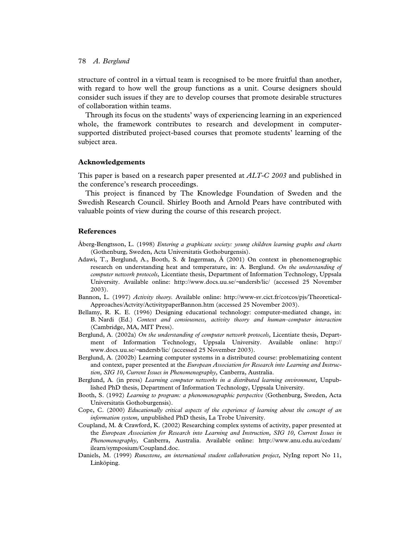structure of control in a virtual team is recognised to be more fruitful than another, with regard to how well the group functions as a unit. Course designers should consider such issues if they are to develop courses that promote desirable structures of collaboration within teams.

Through its focus on the students' ways of experiencing learning in an experienced whole, the framework contributes to research and development in computersupported distributed project-based courses that promote students' learning of the subject area.

## **Acknowledgements**

This paper is based on a research paper presented at *ALT-C 2003* and published in the conference's research proceedings.

This project is financed by The Knowledge Foundation of Sweden and the Swedish Research Council. Shirley Booth and Arnold Pears have contributed with valuable points of view during the course of this research project.

# **References**

- Åberg-Bengtsson, L. (1998) *Entering a graphicate society: young children learning graphs and charts* (Gothenburg, Sweden, Acta Universitatis Gothoburgensis).
- Adawi, T., Berglund, A., Booth, S. & Ingerman, Å (2001) On context in phenomenographic research on understanding heat and temperature, in: A. Berglund. *On the understanding of computer network protocols,* Licentiate thesis, Department of Information Technology, Uppsala University. Available online: http://www.docs.uu.se/∼andersb/lic/ (accessed 25 November 2003).
- Bannon, L. (1997) *Activity theory.* Available online: http://www-sv.cict.fr/cotcos/pjs/Theoretical-Approaches/Actvity/ActivitypaperBannon.htm (accessed 25 November 2003).
- Bellamy, R. K. E. (1996) Designing educational technology: computer-mediated change, in: B. Nardi (Ed.) *Context and consiousness, activity theory and human–computer interaction* (Cambridge, MA, MIT Press).
- Berglund, A. (2002a) *On the understanding of computer network protocols,* Licentiate thesis, Department of Information Technology, Uppsala University. Available online: http:// www.docs.uu.se/∼andersb/lic/ (accessed 25 November 2003).
- Berglund, A. (2002b) Learning computer systems in a distributed course: problematizing content and context, paper presented at the *European Association for Research into Learning and Instruction, SIG 10, Current Issues in Phenomenography,* Canberra, Australia.
- Berglund, A. (in press) *Learning computer networks in a distributed learning environment,* Unpublished PhD thesis, Department of Information Technology, Uppsala University.
- Booth, S. (1992) *Learning to program: a phenomenographic perspective* (Gothenburg, Sweden, Acta Universitatis Gothoburgensis).
- Cope, C. (2000) *Educationally critical aspects of the experience of learning about the concept of an information system,* unpublished PhD thesis, La Trobe University.
- Coupland, M. & Crawford, K. (2002) Researching complex systems of activity, paper presented at the *European Association for Research into Learning and Instruction, SIG 10, Current Issues in Phenomenography,* Canberra, Australia. Available online: http://www.anu.edu.au/cedam/ ilearn/symposium/Coupland.doc.
- Daniels, M. (1999) *Runestone, an international student collaboration project,* NyIng report No 11, Linköping.